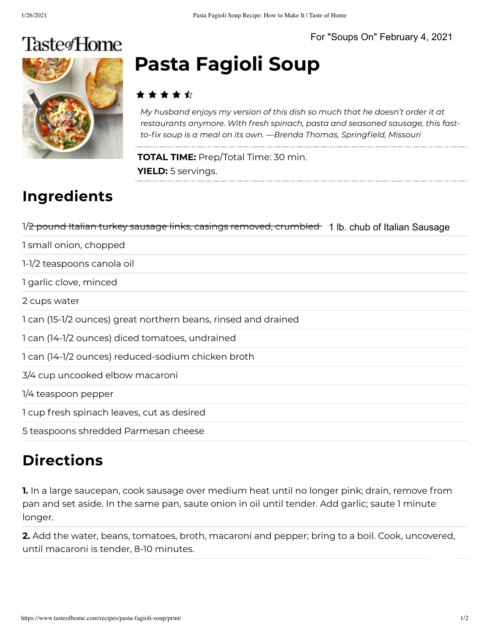

# **Pasta Fagioli Soup**

#### **★ ★ ★ ★** ☆

*My husband enjoys my version of this dish so much that he doesn't order it at restaurants anymore. With fresh spinach, pasta and seasoned sausage, this fast*to-fix soup is a meal on its own. —Brenda Thomas, Springfield, Missouri

**TOTAL TIME:** Prep/Total Time: 30 min. **YIELD:** 5 servings.

## **Ingredients**

| 1/2 pound Italian turkey sausage links, casings removed, crumbled 1 lb. chub of Italian Sausage |  |
|-------------------------------------------------------------------------------------------------|--|
| 1 small onion, chopped                                                                          |  |

1-1/2 teaspoons canola oil

1 garlic clove, minced

2 cups water

1 can (15-1/2 ounces) great northern beans, rinsed and drained

1 can (14-1/2 ounces) diced tomatoes, undrained

1 can (14-1/2 ounces) reduced-sodium chicken broth

3/4 cup uncooked elbow macaroni

1/4 teaspoon pepper

1 cup fresh spinach leaves, cut as desired

5 teaspoons shredded Parmesan cheese

### **Directions**

**1.** In a large saucepan, cook sausage over medium heat until no longer pink; drain, remove from pan and set aside. In the same pan, saute onion in oil until tender. Add garlic; saute 1 minute longer.

**2.** Add the water, beans, tomatoes, broth, macaroni and pepper; bring to a boil. Cook, uncovered, until macaroni is tender, 8-10 minutes.